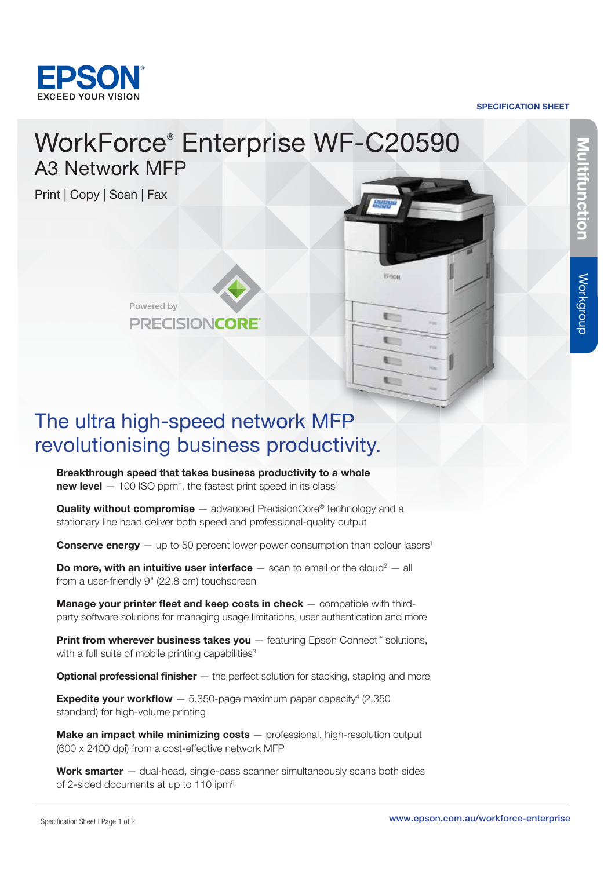

SPECIFICATION SHEET

**EPSON** 

**E** 

t t time.

# WorkForce® Enterprise WF-C20590 A3 Network MFP

Print | Copy | Scan | Fax



## The ultra high-speed network MFP revolutionising business productivity.

Breakthrough speed that takes business productivity to a whole new level  $-100$  ISO ppm<sup>†</sup>, the fastest print speed in its class<sup>1</sup>

**Quality without compromise**  $-$  advanced PrecisionCore<sup>®</sup> technology and a stationary line head deliver both speed and professional-quality output

**Conserve energy**  $-$  up to 50 percent lower power consumption than colour lasers<sup>1</sup>

**Do more, with an intuitive user interface**  $-$  scan to email or the cloud<sup>2</sup>  $-$  all from a user-friendly 9" (22.8 cm) touchscreen

Manage your printer fleet and keep costs in check – compatible with thirdparty software solutions for managing usage limitations, user authentication and more

Print from wherever business takes you – featuring Epson Connect<sup>™</sup> solutions, with a full suite of mobile printing capabilities<sup>3</sup>

**Optional professional finisher**  $-$  the perfect solution for stacking, stapling and more

**Expedite your workflow**  $- 5,350$ -page maximum paper capacity<sup>4</sup> (2,350) standard) for high-volume printing

Make an impact while minimizing costs – professional, high-resolution output (600 x 2400 dpi) from a cost-effective network MFP

Work smarter – dual-head, single-pass scanner simultaneously scans both sides of 2-sided documents at up to 110 ipm<sup>5</sup>